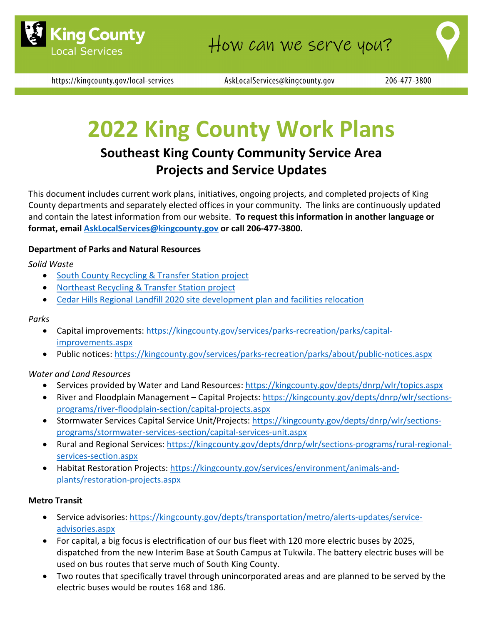

https://kingcounty.gov/local-services

AskLocalServices@kingcounty.gov

# **2022 King County Work Plans**

# **Southeast King County Community Service Area Projects and Service Updates**

This document includes current work plans, initiatives, ongoing projects, and completed projects of King County departments and separately elected offices in your community. The links are continuously updated and contain the latest information from our website. **To request this information in another language or format, email [AskLocalServices@kingcounty.gov](mailto:AskLocalServices@kingcounty.gov) or call 206-477-3800.**

## **Department of Parks and Natural Resources**

## *Solid Waste*

- [South County Recycling & Transfer Station project](https://kingcounty.gov/depts/dnrp/solid-waste/facilities/south-county.aspx)
- [Northeast Recycling & Transfer Station project](https://kingcounty.gov/depts/dnrp/solid-waste/facilities/northeast.aspx)
- [Cedar Hills Regional Landfill 2020 site development plan and facilities relocation](https://kingcounty.gov/depts/dnrp/solid-waste/facilities/landfills/cedar-hills-development.aspx)

#### *Parks*

- Capital improvements: [https://kingcounty.gov/services/parks-recreation/parks/capital](https://kingcounty.gov/services/parks-recreation/parks/capital-improvements.aspx)[improvements.aspx](https://kingcounty.gov/services/parks-recreation/parks/capital-improvements.aspx)
- Public notices:<https://kingcounty.gov/services/parks-recreation/parks/about/public-notices.aspx>

#### *Water and Land Resources*

- Services provided by Water and Land Resources:<https://kingcounty.gov/depts/dnrp/wlr/topics.aspx>
- River and Floodplain Management Capital Projects: [https://kingcounty.gov/depts/dnrp/wlr/sections](https://kingcounty.gov/depts/dnrp/wlr/sections-programs/river-floodplain-section/capital-projects.aspx)[programs/river-floodplain-section/capital-projects.aspx](https://kingcounty.gov/depts/dnrp/wlr/sections-programs/river-floodplain-section/capital-projects.aspx)
- Stormwater Services Capital Service Unit/Projects: [https://kingcounty.gov/depts/dnrp/wlr/sections](https://kingcounty.gov/depts/dnrp/wlr/sections-programs/stormwater-services-section/capital-services-unit.aspx)[programs/stormwater-services-section/capital-services-unit.aspx](https://kingcounty.gov/depts/dnrp/wlr/sections-programs/stormwater-services-section/capital-services-unit.aspx)
- Rural and Regional Services: [https://kingcounty.gov/depts/dnrp/wlr/sections-programs/rural-regional](https://kingcounty.gov/depts/dnrp/wlr/sections-programs/rural-regional-services-section.aspx)[services-section.aspx](https://kingcounty.gov/depts/dnrp/wlr/sections-programs/rural-regional-services-section.aspx)
- Habitat Restoration Projects: [https://kingcounty.gov/services/environment/animals-and](https://kingcounty.gov/services/environment/animals-and-plants/restoration-projects.aspx)[plants/restoration-projects.aspx](https://kingcounty.gov/services/environment/animals-and-plants/restoration-projects.aspx)

#### **Metro Transit**

- Service advisories: [https://kingcounty.gov/depts/transportation/metro/alerts-updates/service](https://kingcounty.gov/depts/transportation/metro/alerts-updates/service-advisories.aspx)[advisories.aspx](https://kingcounty.gov/depts/transportation/metro/alerts-updates/service-advisories.aspx)
- For capital, a big focus is electrification of our bus fleet with 120 more electric buses by 2025, dispatched from the new Interim Base at South Campus at Tukwila. The battery electric buses will be used on bus routes that serve much of South King County.
- Two routes that specifically travel through unincorporated areas and are planned to be served by the electric buses would be routes 168 and 186.